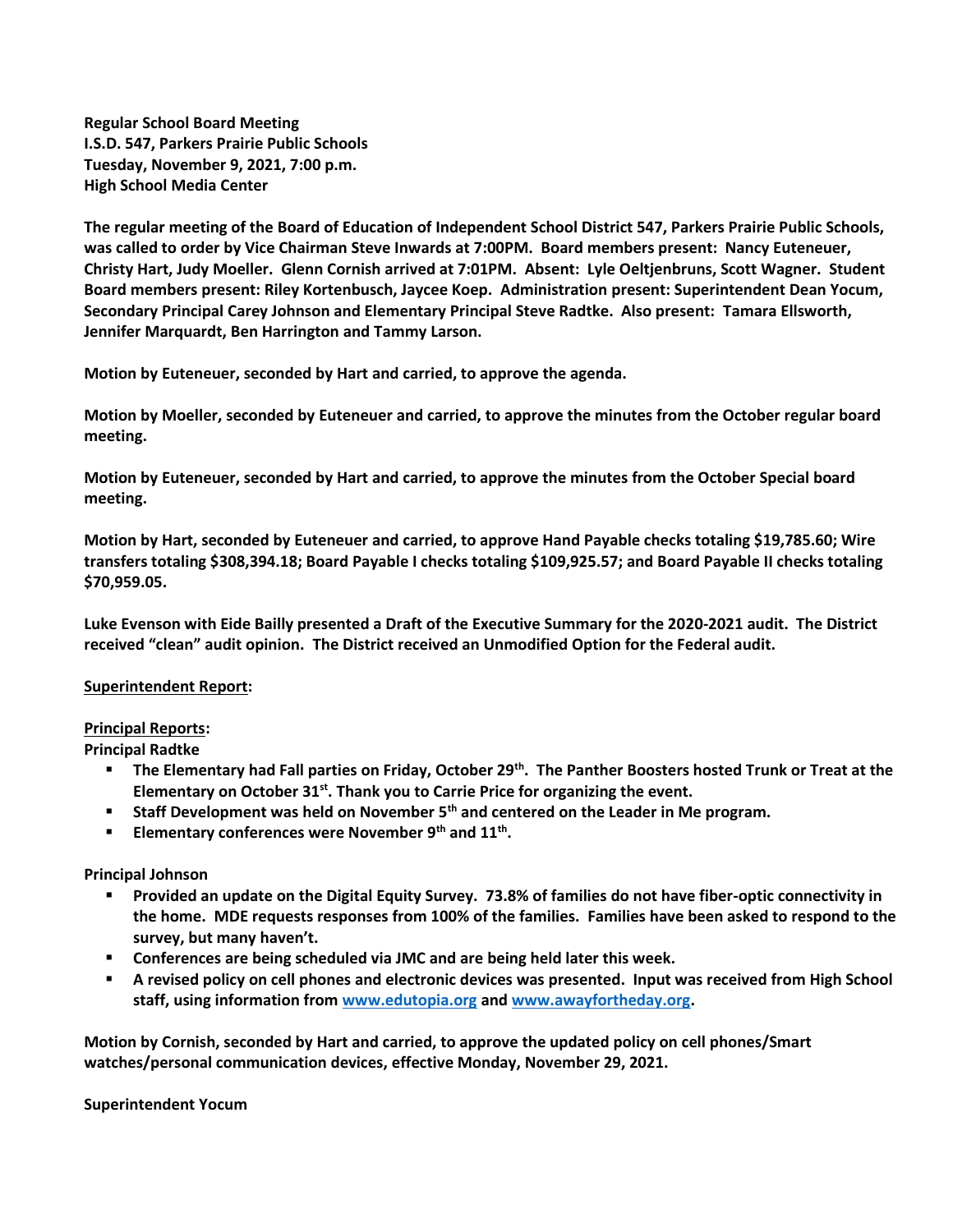**Regular School Board Meeting I.S.D. 547, Parkers Prairie Public Schools Tuesday, November 9, 2021, 7:00 p.m. High School Media Center**

**The regular meeting of the Board of Education of Independent School District 547, Parkers Prairie Public Schools, was called to order by Vice Chairman Steve Inwards at 7:00PM. Board members present: Nancy Euteneuer, Christy Hart, Judy Moeller. Glenn Cornish arrived at 7:01PM. Absent: Lyle Oeltjenbruns, Scott Wagner. Student Board members present: Riley Kortenbusch, Jaycee Koep. Administration present: Superintendent Dean Yocum, Secondary Principal Carey Johnson and Elementary Principal Steve Radtke. Also present: Tamara Ellsworth, Jennifer Marquardt, Ben Harrington and Tammy Larson.**

**Motion by Euteneuer, seconded by Hart and carried, to approve the agenda.**

**Motion by Moeller, seconded by Euteneuer and carried, to approve the minutes from the October regular board meeting.**

**Motion by Euteneuer, seconded by Hart and carried, to approve the minutes from the October Special board meeting.**

**Motion by Hart, seconded by Euteneuer and carried, to approve Hand Payable checks totaling \$19,785.60; Wire transfers totaling \$308,394.18; Board Payable I checks totaling \$109,925.57; and Board Payable II checks totaling \$70,959.05.** 

**Luke Evenson with Eide Bailly presented a Draft of the Executive Summary for the 2020-2021 audit. The District received "clean" audit opinion. The District received an Unmodified Option for the Federal audit.**

## **Superintendent Report:**

## **Principal Reports:**

**Principal Radtke**

- **The Elementary had Fall parties on Friday, October 29th. The Panther Boosters hosted Trunk or Treat at the Elementary on October 31st. Thank you to Carrie Price for organizing the event.**
- **Staff Development was held on November 5th and centered on the Leader in Me program.**
- **Elementary conferences were November 9th and 11th .**

## **Principal Johnson**

- **Provided an update on the Digital Equity Survey. 73.8% of families do not have fiber-optic connectivity in the home. MDE requests responses from 100% of the families. Families have been asked to respond to the survey, but many haven't.**
- **Conferences are being scheduled via JMC and are being held later this week.**
- **A revised policy on cell phones and electronic devices was presented. Input was received from High School staff, using information from [www.edutopia.org](http://www.edutopia.org/) an[d www.awayfortheday.org.](http://www.awayfortheday.org/)**

**Motion by Cornish, seconded by Hart and carried, to approve the updated policy on cell phones/Smart watches/personal communication devices, effective Monday, November 29, 2021.**

## **Superintendent Yocum**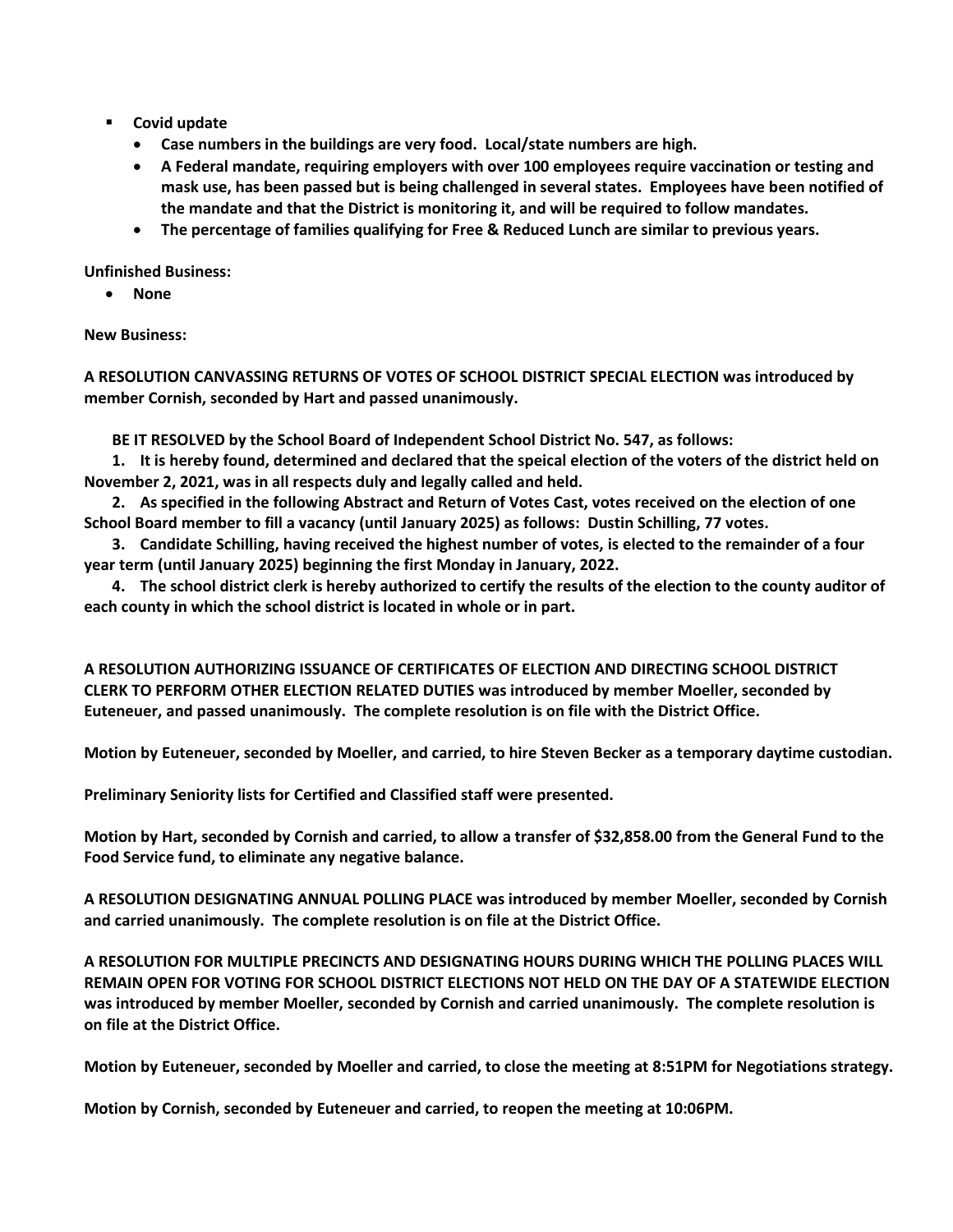- **Covid update**
	- **Case numbers in the buildings are very food. Local/state numbers are high.**
	- **A Federal mandate, requiring employers with over 100 employees require vaccination or testing and mask use, has been passed but is being challenged in several states. Employees have been notified of the mandate and that the District is monitoring it, and will be required to follow mandates.**
	- **The percentage of families qualifying for Free & Reduced Lunch are similar to previous years.**

**Unfinished Business:**

**None**

**New Business:**

**A RESOLUTION CANVASSING RETURNS OF VOTES OF SCHOOL DISTRICT SPECIAL ELECTION was introduced by member Cornish, seconded by Hart and passed unanimously.** 

**BE IT RESOLVED by the School Board of Independent School District No. 547, as follows:**

**1. It is hereby found, determined and declared that the speical election of the voters of the district held on November 2, 2021, was in all respects duly and legally called and held.**

**2. As specified in the following Abstract and Return of Votes Cast, votes received on the election of one School Board member to fill a vacancy (until January 2025) as follows: Dustin Schilling, 77 votes.**

**3. Candidate Schilling, having received the highest number of votes, is elected to the remainder of a four year term (until January 2025) beginning the first Monday in January, 2022.** 

**4. The school district clerk is hereby authorized to certify the results of the election to the county auditor of each county in which the school district is located in whole or in part.**

**A RESOLUTION AUTHORIZING ISSUANCE OF CERTIFICATES OF ELECTION AND DIRECTING SCHOOL DISTRICT CLERK TO PERFORM OTHER ELECTION RELATED DUTIES was introduced by member Moeller, seconded by Euteneuer, and passed unanimously. The complete resolution is on file with the District Office.**

**Motion by Euteneuer, seconded by Moeller, and carried, to hire Steven Becker as a temporary daytime custodian.**

**Preliminary Seniority lists for Certified and Classified staff were presented.** 

**Motion by Hart, seconded by Cornish and carried, to allow a transfer of \$32,858.00 from the General Fund to the Food Service fund, to eliminate any negative balance.**

**A RESOLUTION DESIGNATING ANNUAL POLLING PLACE was introduced by member Moeller, seconded by Cornish and carried unanimously. The complete resolution is on file at the District Office.**

**A RESOLUTION FOR MULTIPLE PRECINCTS AND DESIGNATING HOURS DURING WHICH THE POLLING PLACES WILL REMAIN OPEN FOR VOTING FOR SCHOOL DISTRICT ELECTIONS NOT HELD ON THE DAY OF A STATEWIDE ELECTION was introduced by member Moeller, seconded by Cornish and carried unanimously. The complete resolution is on file at the District Office.**

**Motion by Euteneuer, seconded by Moeller and carried, to close the meeting at 8:51PM for Negotiations strategy.**

**Motion by Cornish, seconded by Euteneuer and carried, to reopen the meeting at 10:06PM.**